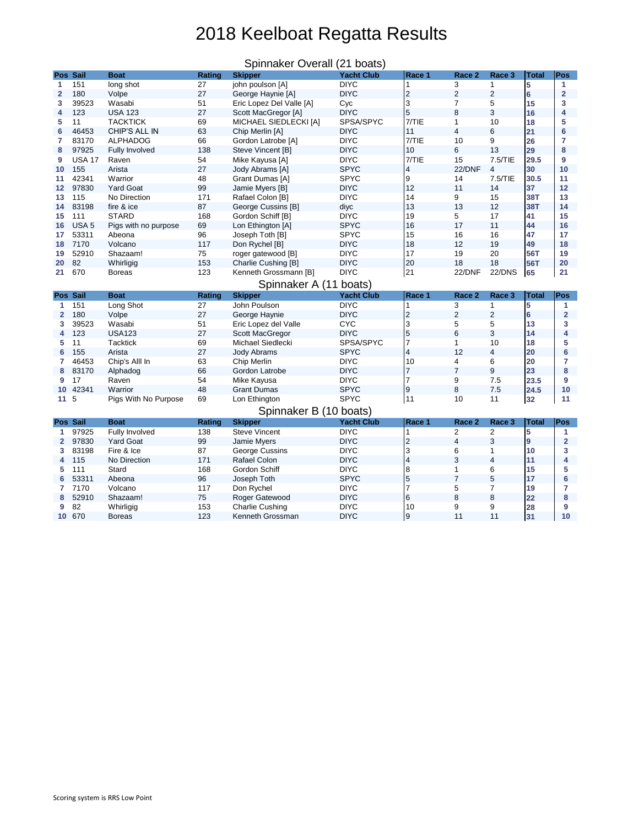## 2018 Keelboat Regatta Results

|                                                                                                                                              | Pos Sail         | <b>Boat</b>                | <b>Rating</b> | <b>Skipper</b>                             | <b>Yacht Club</b>          | Race 1          | Race 2            | Race 3         | <b>Total</b>     | Pos                     |  |  |
|----------------------------------------------------------------------------------------------------------------------------------------------|------------------|----------------------------|---------------|--------------------------------------------|----------------------------|-----------------|-------------------|----------------|------------------|-------------------------|--|--|
| $\overline{\mathbf{1}}$                                                                                                                      | 151              | long shot                  | 27            | john poulson [A]                           | <b>DIYC</b>                |                 | 3                 |                | 5                |                         |  |  |
| $\mathbf{2}$                                                                                                                                 | 180              | Volpe                      | 27            | George Haynie [A]                          | <b>DIYC</b>                | $\overline{2}$  | $\overline{2}$    | $\overline{2}$ | 6                | $\overline{2}$          |  |  |
| 3                                                                                                                                            | 39523            | Wasabi                     | 51            | Eric Lopez Del Valle [A]                   | Cyc                        | 3               | 7                 | 5              | 15               | 3                       |  |  |
| 4                                                                                                                                            | 123              | <b>USA 123</b>             | 27            | Scott MacGregor [A]                        | <b>DIYC</b>                | 5               | 8                 | 3              | 16               | 4                       |  |  |
| 5                                                                                                                                            | 11               | <b>TACKTICK</b>            | 69            | MICHAEL SIEDLECKI [A]                      | SPSA/SPYC                  | 7/TIE           | 1                 | 10             | 18               | 5                       |  |  |
| $6\phantom{1}6$                                                                                                                              | 46453            | CHIP'S ALL IN              | 63            | Chip Merlin [A]                            | <b>DIYC</b>                | 11              | 4                 | 6              | 21               | $6\phantom{1}6$         |  |  |
| 7                                                                                                                                            | 83170            | <b>ALPHADOG</b>            | 66            | Gordon Latrobe [A]                         | <b>DIYC</b>                | 7/TIE           | 10                | 9              | 26               | 7                       |  |  |
| 8                                                                                                                                            | 97925            | <b>Fully Involved</b>      | 138           | Steve Vincent [B]                          | <b>DIYC</b>                | 10              | 6                 | 13             | 29               | 8                       |  |  |
| 9                                                                                                                                            | <b>USA 17</b>    | Raven                      | 54            | Mike Kayusa [A]                            | <b>DIYC</b>                | 7/TIE           | 15                | 7.5/TIE        | 29.5             | 9                       |  |  |
| 10                                                                                                                                           | 155              | Arista                     | 27            | Jody Abrams [A]                            | <b>SPYC</b>                | 4               | 22/DNF            | 4              | 30               | 10                      |  |  |
| 11                                                                                                                                           | 42341            | Warrior                    | 48            | <b>Grant Dumas [A]</b>                     | <b>SPYC</b>                | 9               | 14                | 7.5/TIE        | 30.5             | 11                      |  |  |
| 12                                                                                                                                           | 97830            | <b>Yard Goat</b>           | 99            | Jamie Myers [B]                            | <b>DIYC</b>                | 12              | 11                | 14             | 37               | 12                      |  |  |
| 13                                                                                                                                           | 115              | No Direction               | 171           | Rafael Colon [B]                           | <b>DIYC</b>                | 14              | 9                 | 15             | <b>38T</b>       | 13                      |  |  |
| 14                                                                                                                                           | 83198            | fire & ice                 | 87            | George Cussins [B]                         | diyc                       | 13              | 13                | 12             | <b>38T</b>       | 14                      |  |  |
| 15                                                                                                                                           | 111              | <b>STARD</b>               | 168           | Gordon Schiff [B]                          | <b>DIYC</b>                | 19              | 5                 | 17             | 41               | 15                      |  |  |
| 16                                                                                                                                           | USA <sub>5</sub> | Pigs with no purpose       | 69            | Lon Ethington [A]                          | <b>SPYC</b>                | 16              | 17                | 11             | 44               | 16                      |  |  |
| 17                                                                                                                                           | 53311            | Abeona                     | 96            | Joseph Toth [B]                            | <b>SPYC</b>                | 15              | 16                | 16             | 47               | 17                      |  |  |
| 18                                                                                                                                           | 7170             | Volcano                    | 117           | Don Rychel [B]                             | <b>DIYC</b>                | 18              | 12                | 19             | 49               | 18                      |  |  |
| 19                                                                                                                                           | 52910            | Shazaam!                   | 75            | roger gatewood [B]                         | <b>DIYC</b>                | 17              | 19                | 20             | 56T              | 19                      |  |  |
| 20                                                                                                                                           | 82               | Whirligig                  | 153           | Charlie Cushing [B]                        | <b>DIYC</b>                | 20              | 18                | 18             | <b>56T</b>       | 20                      |  |  |
| 21                                                                                                                                           | 670              | <b>Boreas</b>              | 123           | Kenneth Grossmann [B]                      | <b>DIYC</b>                | 21              | 22/DNF            | 22/DNS         | 65               | 21                      |  |  |
|                                                                                                                                              |                  |                            |               |                                            |                            |                 |                   |                |                  |                         |  |  |
| Spinnaker A (11 boats)<br>Pos Sail<br><b>Boat</b><br><b>Yacht Club</b><br>Race 1<br><b>Total</b><br>Pos<br><b>Rating</b><br>Race 2<br>Race 3 |                  |                            |               |                                            |                            |                 |                   |                |                  |                         |  |  |
|                                                                                                                                              |                  |                            |               |                                            |                            |                 |                   |                |                  |                         |  |  |
|                                                                                                                                              |                  |                            |               | <b>Skipper</b>                             |                            |                 |                   |                |                  |                         |  |  |
|                                                                                                                                              | 151              | Long Shot                  | 27            | John Poulson                               | <b>DIYC</b>                |                 | 3                 |                | 5                | 1                       |  |  |
|                                                                                                                                              | 180              | Volpe                      | 27            | George Haynie                              | <b>DIYC</b>                | $\overline{2}$  | $\overline{2}$    | $\overline{2}$ | $6\phantom{1}6$  | $\overline{\mathbf{2}}$ |  |  |
|                                                                                                                                              | 39523            | Wasabi                     | 51            | Eric Lopez del Valle                       | <b>CYC</b>                 | 3               | 5                 | 5              | 13               | 3                       |  |  |
| 4                                                                                                                                            | 123              | <b>USA123</b>              | 27            | <b>Scott MacGregor</b>                     | <b>DIYC</b>                | 5               | 6                 | 3              | 14               | 4                       |  |  |
| 5                                                                                                                                            | 11               | <b>Tacktick</b>            | 69            | Michael Siedlecki                          | SPSA/SPYC                  | $\overline{7}$  |                   | 10             | 18               | 5                       |  |  |
|                                                                                                                                              | 155              | Arista                     | 27            | <b>Jody Abrams</b>                         | <b>SPYC</b>                | 4               | 12                | 4              | 20               | $6\phantom{1}6$         |  |  |
|                                                                                                                                              | 46453            | Chip's Alll In             | 63            | <b>Chip Merlin</b>                         | <b>DIYC</b>                | 10              | 4                 | 6              | 20               | 7                       |  |  |
| 8                                                                                                                                            | 83170            | Alphadog                   | 66            | Gordon Latrobe                             | <b>DIYC</b>                | $\overline{7}$  | $\overline{7}$    | 9              | 23               | 8                       |  |  |
| 9                                                                                                                                            | 17               | Raven                      | 54            | Mike Kayusa                                | <b>DIYC</b>                | $\overline{7}$  | 9                 | 7.5            | 23.5             | 9                       |  |  |
| 10 <sup>°</sup>                                                                                                                              | 42341            | Warrior                    | 48            | <b>Grant Dumas</b>                         | <b>SPYC</b>                | $\overline{9}$  | 8                 | 7.5            | 24.5             | 10                      |  |  |
| 11 <sub>5</sub>                                                                                                                              |                  | Pigs With No Purpose       | 69            | Lon Ethington                              | <b>SPYC</b>                | 11              | 10                | 11             | 32               | 11                      |  |  |
|                                                                                                                                              |                  |                            |               | Spinnaker B (10 boats)                     |                            |                 |                   |                |                  |                         |  |  |
|                                                                                                                                              | Pos Sail         | <b>Boat</b>                | <b>Rating</b> | <b>Skipper</b>                             | <b>Yacht Club</b>          | Race 1          | Race <sub>2</sub> | Race 3         | <b>Total</b>     | Pos                     |  |  |
|                                                                                                                                              | 97925            | Fully Involved             | 138           | <b>Steve Vincent</b>                       | <b>DIYC</b>                |                 | 2                 | $\overline{2}$ | 5                |                         |  |  |
|                                                                                                                                              | 97830            | <b>Yard Goat</b>           | 99            | Jamie Myers                                | <b>DIYC</b>                | $\overline{2}$  | 4                 | 3              | $\boldsymbol{9}$ | $\mathbf 2$             |  |  |
| 3.                                                                                                                                           | 83198            | Fire & Ice                 | 87            | George Cussins                             | <b>DIYC</b>                | 3               | 6                 |                | 10               | 3                       |  |  |
| 4                                                                                                                                            | 115              | No Direction               | 171           | Rafael Colon                               | <b>DIYC</b>                | 4               | 3                 | 4              | 11               | 4                       |  |  |
| 5                                                                                                                                            | 111              | Stard                      | 168           | Gordon Schiff                              | <b>DIYC</b>                | 8               | 1                 | 6              | 15               | 5                       |  |  |
| 6                                                                                                                                            | 53311            | Abeona                     | 96            | Joseph Toth                                | <b>SPYC</b>                | 5               | $\overline{7}$    | 5              | 17               | 6                       |  |  |
|                                                                                                                                              | 7170             | Volcano                    | 117           | Don Rychel                                 | <b>DIYC</b>                | $\overline{7}$  | 5                 | 7              | 19               | 7                       |  |  |
| 8                                                                                                                                            | 52910            | Shazaam!                   | 75            | Roger Gatewood                             | <b>DIYC</b>                | $6\phantom{.}6$ | 8                 | $\,8\,$        | 22               | 8                       |  |  |
| 9<br>10 <sub>1</sub>                                                                                                                         | 82<br>670        | Whirligig<br><b>Boreas</b> | 153<br>123    | <b>Charlie Cushing</b><br>Kenneth Grossman | <b>DIYC</b><br><b>DIYC</b> | 10<br>9         | 9<br>11           | 9<br>11        | 28<br>31         | 9<br>10                 |  |  |

## Spinnaker Overall (21 boats)

Scoring system is RRS Low Point